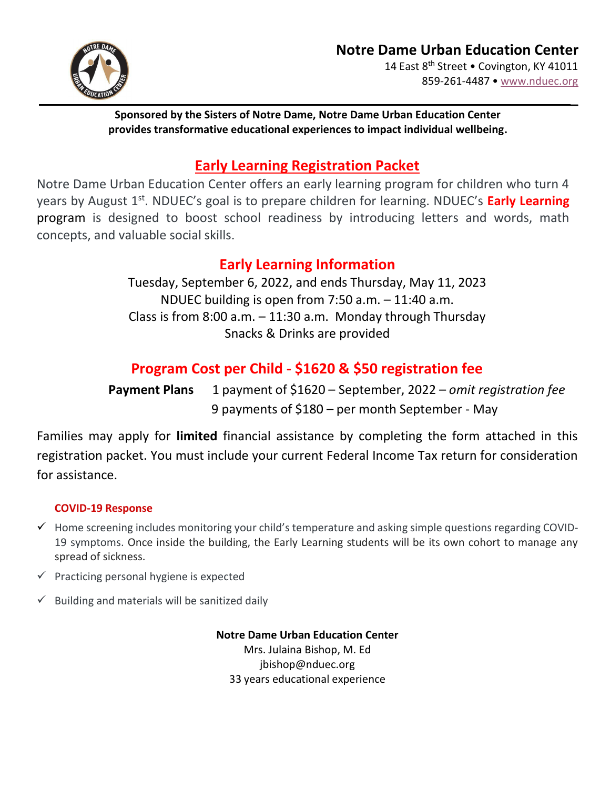

**\_**

#### **Sponsored by the Sisters of Notre Dame, Notre Dame Urban Education Center provides transformative educational experiences to impact individual wellbeing.**

### **Early Learning Registration Packet**

Notre Dame Urban Education Center offers an early learning program for children who turn 4 years by August 1<sup>st</sup>. NDUEC's goal is to prepare children for learning. NDUEC's Early Learning program is designed to boost school readiness by introducing letters and words, math concepts, and valuable social skills.

### **Early Learning Information**

Tuesday, September 6, 2022, and ends Thursday, May 11, 2023 NDUEC building is open from 7:50 a.m. – 11:40 a.m. Class is from 8:00 a.m.  $-11:30$  a.m. Monday through Thursday Snacks & Drinks are provided

## **Program Cost per Child - \$1620 & \$50 registration fee**

**Payment Plans** 1 payment of \$1620 – September, 2022 – *omit registration fee* 9 payments of \$180 – per month September - May

Families may apply for **limited** financial assistance by completing the form attached in this registration packet. You must include your current Federal Income Tax return for consideration for assistance.

#### **COVID-19 Response**

- $\checkmark$  Home screening includes monitoring your child's temperature and asking simple questions regarding COVID-19 symptoms. Once inside the building, the Early Learning students will be its own cohort to manage any spread of sickness.
- $\checkmark$  Practicing personal hygiene is expected
- $\checkmark$  Building and materials will be sanitized daily

**Notre Dame Urban Education Center** Mrs. Julaina Bishop, M. Ed [jbishop@nduec.org](mailto:jbishop@nduec.org) 33 years educational experience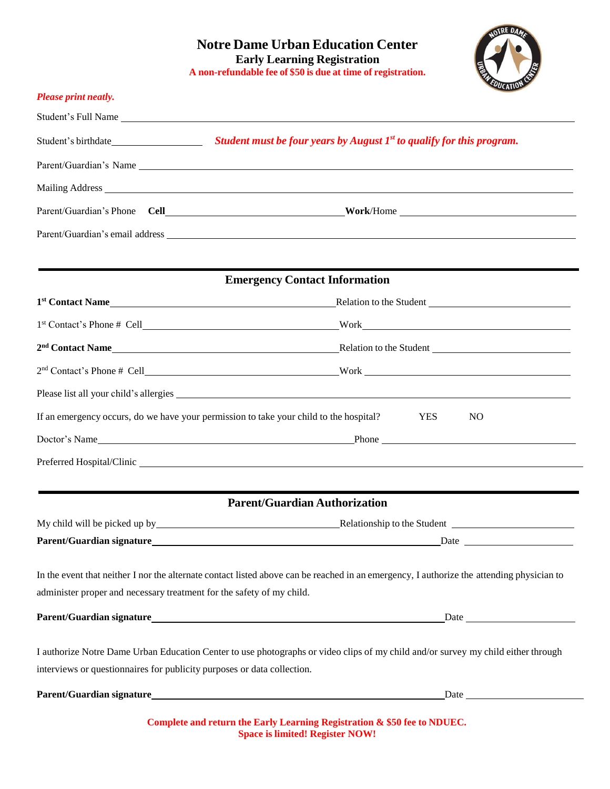

| Student's Full Name<br>Student's birthdate <b>Student mustive Student mustive Student we</b> Student is program.<br>Parent/Guardian's email address experience of the set of the set of the set of the set of the set of the set of the set of the set of the set of the set of the set of the set of the set of the set of the set of the set of<br><b>Emergency Contact Information</b><br>1 <sup>st</sup> Contact Name <b>Example 2</b> Relation to the Student <b>Example 2</b> Relation to the Student <b>Example 2</b> Relation to the Student <b>Example 2</b> Relation to the Student <b>Example 2</b> Relation to the Student <b>Example 2</b> Relation to<br>2 <sup>nd</sup> Contact Name <b>Example 2<sup>nd</sup></b> Contact Name <b>Example 2<sup>nd</sup></b> Contact Name<br>$2nd$ Contact's Phone # Cell $\qquad \qquad$ Work |  |  |
|------------------------------------------------------------------------------------------------------------------------------------------------------------------------------------------------------------------------------------------------------------------------------------------------------------------------------------------------------------------------------------------------------------------------------------------------------------------------------------------------------------------------------------------------------------------------------------------------------------------------------------------------------------------------------------------------------------------------------------------------------------------------------------------------------------------------------------------------|--|--|
|                                                                                                                                                                                                                                                                                                                                                                                                                                                                                                                                                                                                                                                                                                                                                                                                                                                |  |  |
|                                                                                                                                                                                                                                                                                                                                                                                                                                                                                                                                                                                                                                                                                                                                                                                                                                                |  |  |
|                                                                                                                                                                                                                                                                                                                                                                                                                                                                                                                                                                                                                                                                                                                                                                                                                                                |  |  |
|                                                                                                                                                                                                                                                                                                                                                                                                                                                                                                                                                                                                                                                                                                                                                                                                                                                |  |  |
|                                                                                                                                                                                                                                                                                                                                                                                                                                                                                                                                                                                                                                                                                                                                                                                                                                                |  |  |
|                                                                                                                                                                                                                                                                                                                                                                                                                                                                                                                                                                                                                                                                                                                                                                                                                                                |  |  |
|                                                                                                                                                                                                                                                                                                                                                                                                                                                                                                                                                                                                                                                                                                                                                                                                                                                |  |  |
|                                                                                                                                                                                                                                                                                                                                                                                                                                                                                                                                                                                                                                                                                                                                                                                                                                                |  |  |
|                                                                                                                                                                                                                                                                                                                                                                                                                                                                                                                                                                                                                                                                                                                                                                                                                                                |  |  |
|                                                                                                                                                                                                                                                                                                                                                                                                                                                                                                                                                                                                                                                                                                                                                                                                                                                |  |  |
|                                                                                                                                                                                                                                                                                                                                                                                                                                                                                                                                                                                                                                                                                                                                                                                                                                                |  |  |
|                                                                                                                                                                                                                                                                                                                                                                                                                                                                                                                                                                                                                                                                                                                                                                                                                                                |  |  |
| If an emergency occurs, do we have your permission to take your child to the hospital?<br><b>YES</b><br>N <sub>O</sub>                                                                                                                                                                                                                                                                                                                                                                                                                                                                                                                                                                                                                                                                                                                         |  |  |
|                                                                                                                                                                                                                                                                                                                                                                                                                                                                                                                                                                                                                                                                                                                                                                                                                                                |  |  |
|                                                                                                                                                                                                                                                                                                                                                                                                                                                                                                                                                                                                                                                                                                                                                                                                                                                |  |  |
| <b>Parent/Guardian Authorization</b>                                                                                                                                                                                                                                                                                                                                                                                                                                                                                                                                                                                                                                                                                                                                                                                                           |  |  |
| My child will be picked up by the second service of the Student and Student and Student and Student and Student                                                                                                                                                                                                                                                                                                                                                                                                                                                                                                                                                                                                                                                                                                                                |  |  |
|                                                                                                                                                                                                                                                                                                                                                                                                                                                                                                                                                                                                                                                                                                                                                                                                                                                |  |  |
| In the event that neither I nor the alternate contact listed above can be reached in an emergency, I authorize the attending physician to                                                                                                                                                                                                                                                                                                                                                                                                                                                                                                                                                                                                                                                                                                      |  |  |
|                                                                                                                                                                                                                                                                                                                                                                                                                                                                                                                                                                                                                                                                                                                                                                                                                                                |  |  |
| I authorize Notre Dame Urban Education Center to use photographs or video clips of my child and/or survey my child either through                                                                                                                                                                                                                                                                                                                                                                                                                                                                                                                                                                                                                                                                                                              |  |  |
|                                                                                                                                                                                                                                                                                                                                                                                                                                                                                                                                                                                                                                                                                                                                                                                                                                                |  |  |
|                                                                                                                                                                                                                                                                                                                                                                                                                                                                                                                                                                                                                                                                                                                                                                                                                                                |  |  |

**Space is limited! Register NOW!**